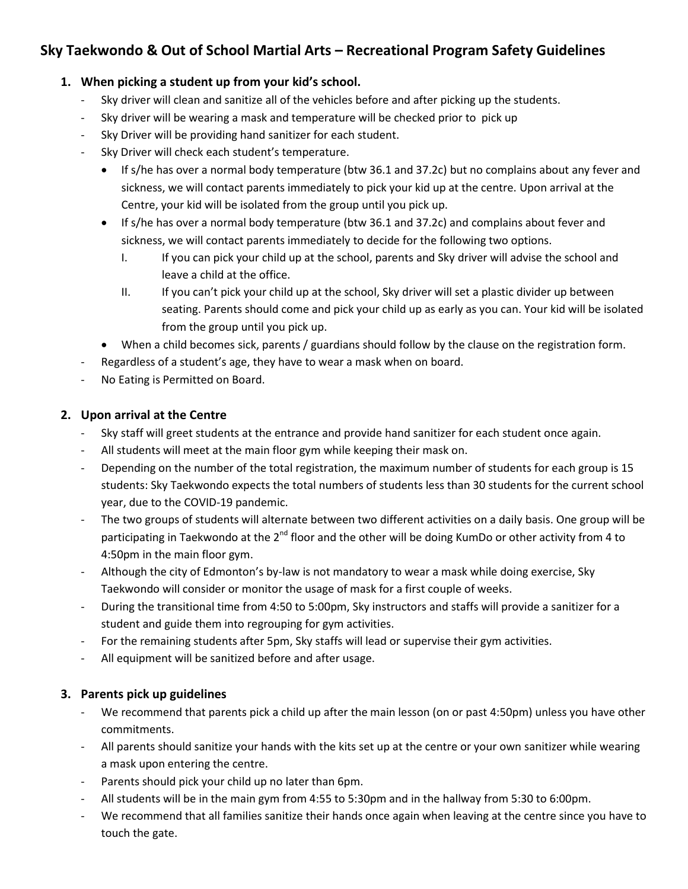# **Sky Taekwondo & Out of School Martial Arts – Recreational Program Safety Guidelines**

# **1. When picking a student up from your kid's school.**

- Sky driver will clean and sanitize all of the vehicles before and after picking up the students.
- Sky driver will be wearing a mask and temperature will be checked prior to pick up
- Sky Driver will be providing hand sanitizer for each student.
- Sky Driver will check each student's temperature.
	- If s/he has over a normal body temperature (btw 36.1 and 37.2c) but no complains about any fever and sickness, we will contact parents immediately to pick your kid up at the centre. Upon arrival at the Centre, your kid will be isolated from the group until you pick up.
	- If s/he has over a normal body temperature (btw 36.1 and 37.2c) and complains about fever and sickness, we will contact parents immediately to decide for the following two options.
		- I. If you can pick your child up at the school, parents and Sky driver will advise the school and leave a child at the office.
		- II. If you can't pick your child up at the school, Sky driver will set a plastic divider up between seating. Parents should come and pick your child up as early as you can. Your kid will be isolated from the group until you pick up.
	- When a child becomes sick, parents / guardians should follow by the clause on the registration form.
- Regardless of a student's age, they have to wear a mask when on board.
- No Eating is Permitted on Board.

# **2. Upon arrival at the Centre**

- Sky staff will greet students at the entrance and provide hand sanitizer for each student once again.
- All students will meet at the main floor gym while keeping their mask on.
- Depending on the number of the total registration, the maximum number of students for each group is 15 students: Sky Taekwondo expects the total numbers of students less than 30 students for the current school year, due to the COVID-19 pandemic.
- The two groups of students will alternate between two different activities on a daily basis. One group will be participating in Taekwondo at the 2<sup>nd</sup> floor and the other will be doing KumDo or other activity from 4 to 4:50pm in the main floor gym.
- Although the city of Edmonton's by-law is not mandatory to wear a mask while doing exercise, Sky Taekwondo will consider or monitor the usage of mask for a first couple of weeks.
- During the transitional time from 4:50 to 5:00pm, Sky instructors and staffs will provide a sanitizer for a student and guide them into regrouping for gym activities.
- For the remaining students after 5pm, Sky staffs will lead or supervise their gym activities.
- All equipment will be sanitized before and after usage.

### **3. Parents pick up guidelines**

- We recommend that parents pick a child up after the main lesson (on or past 4:50pm) unless you have other commitments.
- All parents should sanitize your hands with the kits set up at the centre or your own sanitizer while wearing a mask upon entering the centre.
- Parents should pick your child up no later than 6pm.
- All students will be in the main gym from 4:55 to 5:30pm and in the hallway from 5:30 to 6:00pm.
- We recommend that all families sanitize their hands once again when leaving at the centre since you have to touch the gate.